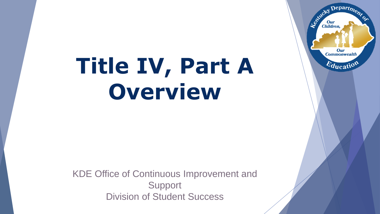# **Title IV, Part A Overview**

KDE Office of Continuous Improvement and **Support** Division of Student Success

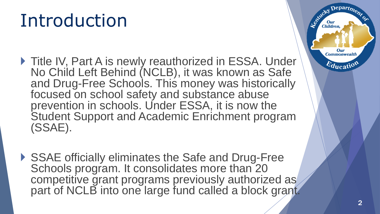## Introduction

- ▶ Title IV, Part A is newly reauthorized in ESSA. Under No Child Left Behind (NCLB), it was known as Safe and Drug-Free Schools. This money was historically focused on school safety and substance abuse prevention in schools. Under ESSA, it is now the Student Support and Academic Enrichment program (SSAE).
- ▶ SSAE officially eliminates the Safe and Drug-Free Schools program. It consolidates more than 20 competitive grant programs previously authorized as part of NCLB into one large fund called a block grant.

 $\mathbf{D}$ epart $\boldsymbol{\eta_2}$ 

Our **Commonwealth** 

 $E_{\text{ducatio}}$ 

Leo<sup>xid</sup>cky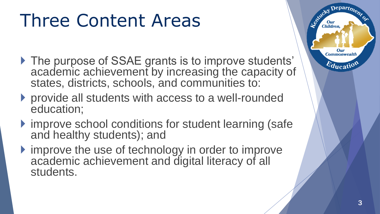## Three Content Areas

- ▶ The purpose of SSAE grants is to improve students' academic achievement by increasing the capacity of states, districts, schools, and communities to:
- ▶ provide all students with access to a well-rounded education;
- ▶ improve school conditions for student learning (safe and healthy students); and
- If improve the use of technology in order to improve academic achievement and digital literacy of all students.

3

 $\pmb{Depart}_{\pmb{D}}$ 

Our **Commonwealth** 

 $E_{\text{ducatio}}$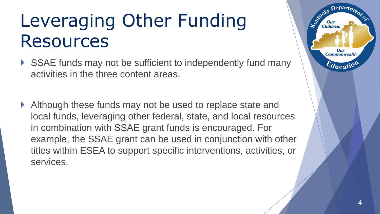## Leveraging Other Funding Resources

- SSAE funds may not be sufficient to independently fund many activities in the three content areas.
- Although these funds may not be used to replace state and local funds, leveraging other federal, state, and local resources in combination with SSAE grant funds is encouraged. For example, the SSAE grant can be used in conjunction with other titles within ESEA to support specific interventions, activities, or services.

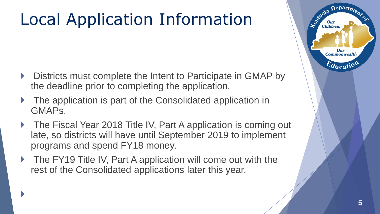### Local Application Information

- Districts must complete the Intent to Participate in GMAP by [the deadline prior to completing the application](http://mediaportal.education.ky.gov/featured/2018/01/applying-for-title-iv-part-a-intent-to-participate/).
- The application is part of the Consolidated application in GMAPs.
- The Fiscal Year 2018 Title IV, Part A application is coming out late, so districts will have until September 2019 to implement programs and spend FY18 money.
- The FY19 Title IV, Part A application will come out with the rest of the Consolidated applications later this year.

Depart<sub>m</sub>

Our **Commonwealth** 

 $E_{\text{ducatio}}$ 

Le Child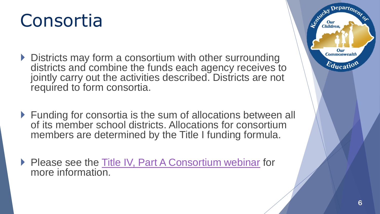### Consortia

- ▶ Districts may form a consortium with other surrounding districts and combine the funds each agency receives to jointly carry out the activities described. Districts are not required to form consortia.
- ▶ Funding for consortia is the sum of allocations between all of its member school districts. Allocations for consortium members are determined by the Title I funding formula.
- Please see the [Title IV, Part A Consortium webinar](http://mediaportal.education.ky.gov/featured/2018/01/applying-for-title-iv-part-a-as-a-consortium/) for more information.

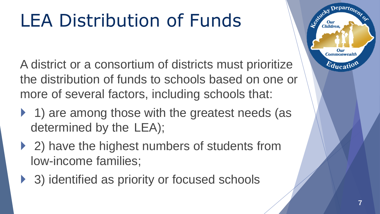## LEA Distribution of Funds

A district or a consortium of districts must prioritize the distribution of funds to schools based on one or more of several factors, including schools that:

- ▶ 1) are among those with the greatest needs (as determined by the LEA);
- ▶ 2) have the highest numbers of students from low-income families;
- ▶ 3) identified as priority or focused schools

 $e$ part $\eta$ 

Our **Commonwealth** 

 $e_{\boldsymbol{d_{\text{ucat}}}}$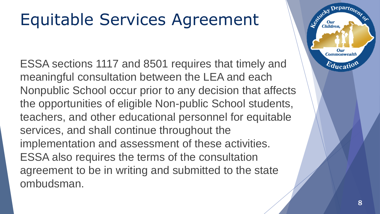### Equitable Services Agreement

ESSA sections 1117 and 8501 requires that timely and meaningful consultation between the LEA and each Nonpublic School occur prior to any decision that affects the opportunities of eligible Non-public School students, teachers, and other educational personnel for equitable services, and shall continue throughout the implementation and assessment of these activities. ESSA also requires the terms of the consultation agreement to be in writing and submitted to the state ombudsman.

epart<sub>m</sub>

Our **Commonwealtl** 

 $E_{\text{ducati}}$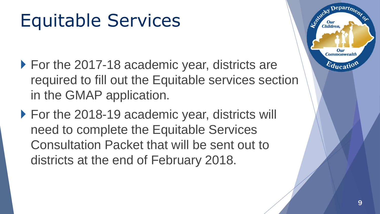## Equitable Services

- ▶ For the 2017-18 academic year, districts are required to fill out the Equitable services section in the GMAP application.
- ▶ For the 2018-19 academic year, districts will need to complete the Equitable Services Consultation Packet that will be sent out to districts at the end of February 2018.

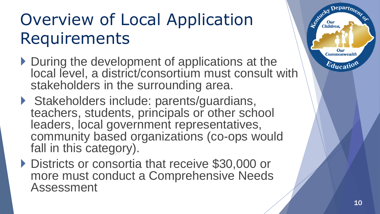### Overview of Local Application Requirements

- During the development of applications at the local level, a district/consortium must consult with stakeholders in the surrounding area.
- ▶ Stakeholders include: parents/guardians, teachers, students, principals or other school leaders, local government representatives, community based organizations (co-ops would fall in this category).
- ▶ Districts or consortia that receive \$30,000 or more must conduct a Comprehensive Needs Assessment



Departme.

Our **Commonwealth** 

 $E_{\text{ducatio}}$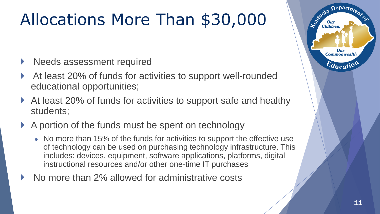## Allocations More Than \$30,000

- Needs assessment required
- At least 20% of funds for activities to support well-rounded educational opportunities;
- ▶ At least 20% of funds for activities to support safe and healthy students;
- A portion of the funds must be spent on technology
	- No more than 15% of the funds for activities to support the effective use of technology can be used on purchasing technology infrastructure. This includes: devices, equipment, software applications, platforms, digital instructional resources and/or other one-time IT purchases
- No more than 2% allowed for administrative costs

 $\mathbf{D}$ epart<sub> $\mathbf{D}$ </sub>

Our **Commonwealth** 

 $E_{\text{ducati}}$ 

Controley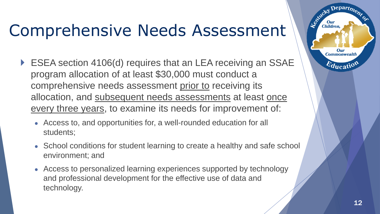#### Comprehensive Needs Assessment

- ▶ ESEA section 4106(d) requires that an LEA receiving an SSAE program allocation of at least \$30,000 must conduct a comprehensive needs assessment prior to receiving its allocation, and subsequent needs assessments at least once every three years, to examine its needs for improvement of:
	- Access to, and opportunities for, a well-rounded education for all students;
	- School conditions for student learning to create a healthy and safe school environment; and
	- Access to personalized learning experiences supported by technology and professional development for the effective use of data and technology.

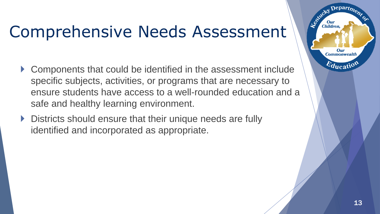#### Comprehensive Needs Assessment

- Components that could be identified in the assessment include specific subjects, activities, or programs that are necessary to ensure students have access to a well-rounded education and a safe and healthy learning environment.
- ▶ Districts should ensure that their unique needs are fully identified and incorporated as appropriate.

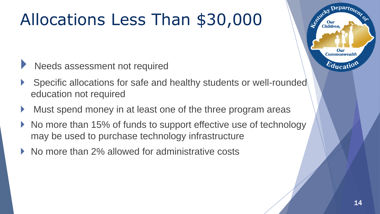### Allocations Less Than \$30,000

- Needs assessment not required
- Specific allocations for safe and healthy students or well-rounded education not required
- Must spend money in at least one of the three program areas
- No more than 15% of funds to support effective use of technology may be used to purchase technology infrastructure
- No more than 2% allowed for administrative costs

 $Depart_{\boldsymbol{D}}$ 

Our **Commonwealth** 

 $E_{\text{ducati}}$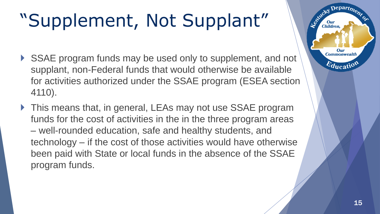## "Supplement, Not Supplant"

- SSAE program funds may be used only to supplement, and not supplant, non-Federal funds that would otherwise be available for activities authorized under the SSAE program (ESEA section 4110).
- ▶ This means that, in general, LEAs may not use SSAE program funds for the cost of activities in the in the three program areas – well-rounded education, safe and healthy students, and technology – if the cost of those activities would have otherwise been paid with State or local funds in the absence of the SSAE program funds.

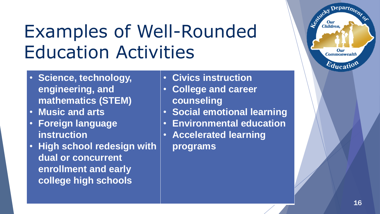## Examples of Well-Rounded Education Activities

- **Science, technology, engineering, and mathematics (STEM)**
- **Music and arts**
- **Foreign language instruction**
- **High school redesign with dual or concurrent enrollment and early college high schools**
- **Civics instruction**
- **College and career counseling**
- **Social emotional learning**
- **Environmental education**
- **Accelerated learning programs**

 $\text{Department}_{\text{D}}$ 

Our **Commonwealth** 

 $E_{\text{ducati}}$ 

Le Child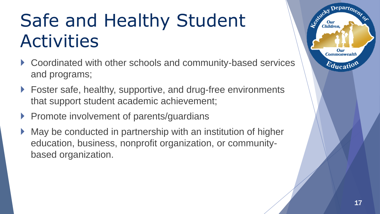## Safe and Healthy Student Activities

- ▶ Coordinated with other schools and community-based services and programs;
- ▶ Foster safe, healthy, supportive, and drug-free environments that support student academic achievement;
- Promote involvement of parents/guardians
- May be conducted in partnership with an institution of higher education, business, nonprofit organization, or communitybased organization.

 $\mathbf{D}$ epart<sub>m</sub>

Our **Commonwealth** 

 $E_{\text{ducati}}$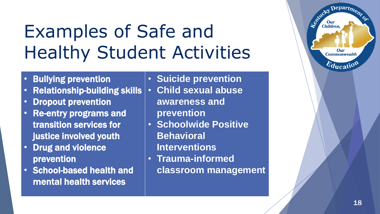## Examples of Safe and Healthy Student Activities

- Bullying prevention
- Relationship-building skills
- Dropout prevention
- Re-entry programs and transition services for justice involved youth
- Drug and violence prevention
- School-based health and mental health services

• **Suicide prevention**

- **Child sexual abuse awareness and prevention**
- **Schoolwide Positive Behavioral Interventions**
- **Trauma-informed classroom management**

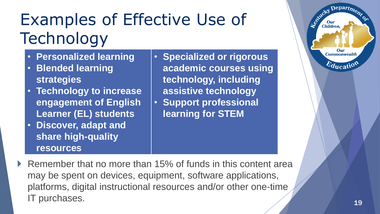## Examples of Effective Use of **Technology**

- **Personalized learning**
- **Blended learning strategies**
- **Technology to increase engagement of English Learner (EL) students**
- **Discover, adapt and share high-quality resources**

• **Specialized or rigorous academic courses using technology, including assistive technology** • **Support professional learning for STEM**



▶ Remember that no more than 15% of funds in this content area may be spent on devices, equipment, software applications, platforms, digital instructional resources and/or other one-time IT purchases.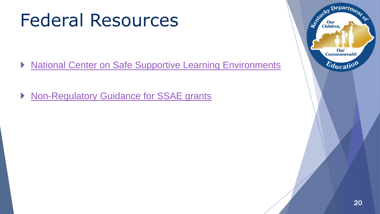### Federal Resources

- ▶ [National Center on Safe Supportive Learning Environments](https://safesupportivelearning.ed.gov/ESSA-TitleIVPartA-SSAE)
- ▶ [Non-Regulatory Guidance for SSAE grants](https://www2.ed.gov/policy/elsec/leg/essa/essassaegrantguid10212016.pdf)